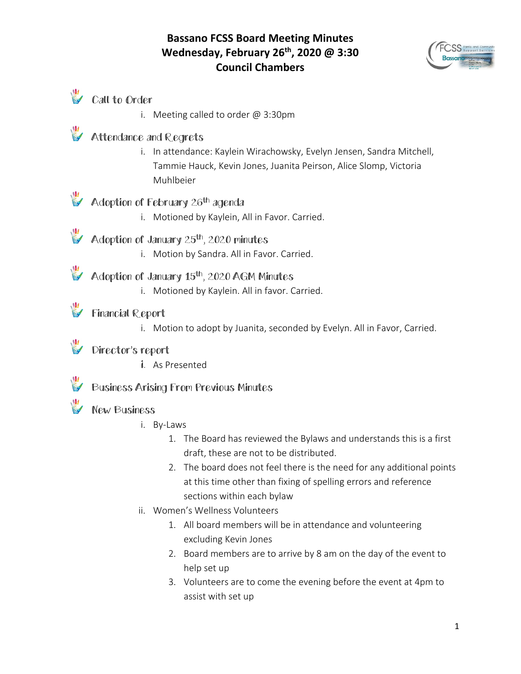### **Bassano FCSS Board Meeting Minutes Wednesday, February 26th, 2020 @ 3:30 Council Chambers**



# Call to Order

i. Meeting called to order @ 3:30pm

## **Attendance and Regrets**

i. In attendance: Kaylein Wirachowsky, Evelyn Jensen, Sandra Mitchell, Tammie Hauck, Kevin Jones, Juanita Peirson, Alice Slomp, Victoria Muhlbeier

# Adoption of February 26<sup>th</sup> agenda

- i. Motioned by Kaylein, All in Favor. Carried.
- $\mathcal{U}$  Adoption of January 25<sup>th</sup>, 2020 minutes
	- i. Motion by Sandra. All in Favor. Carried.

# Adoption of January 15<sup>th</sup>, 2020 AGM Minutes

i. Motioned by Kaylein. All in favor. Carried.

## **Financial Report**

i. Motion to adopt by Juanita, seconded by Evelyn. All in Favor, Carried.

#### Director's report

i. As Presented

### Business Arising From Previous Minutes

#### **New Business**

- i. By-Laws
	- 1. The Board has reviewed the Bylaws and understands this is a first draft, these are not to be distributed.
	- 2. The board does not feel there is the need for any additional points at this time other than fixing of spelling errors and reference sections within each bylaw
- ii. Women's Wellness Volunteers
	- 1. All board members will be in attendance and volunteering excluding Kevin Jones
	- 2. Board members are to arrive by 8 am on the day of the event to help set up
	- 3. Volunteers are to come the evening before the event at 4pm to assist with set up